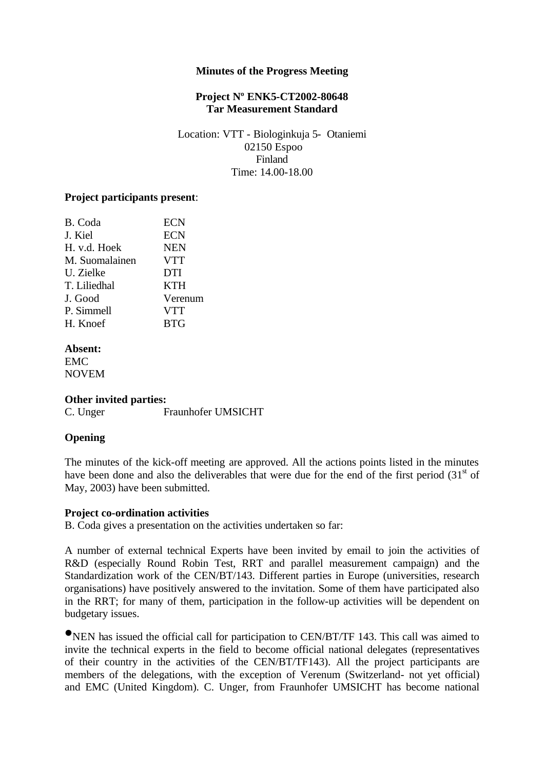### **Minutes of the Progress Meeting**

# **Project Nº ENK5-CT2002-80648 Tar Measurement Standard**

Location: VTT - Biologinkuja 5- Otaniemi 02150 Espoo Finland Time: 14.00-18.00

## **Project participants present**:

| B. Coda        | <b>ECN</b> |
|----------------|------------|
| J. Kiel        | <b>ECN</b> |
| H. v.d. Hoek   | <b>NEN</b> |
| M. Suomalainen | <b>VTT</b> |
| U. Zielke      | <b>DTI</b> |
| T. Liliedhal   | <b>KTH</b> |
| J. Good        | Verenum    |
| P. Simmell     | <b>VTT</b> |
| H. Knoef       | <b>BTG</b> |
|                |            |

**Absent:** EMC NOVEM

### **Other invited parties:**

C. Unger Fraunhofer UMSICHT

# **Opening**

The minutes of the kick-off meeting are approved. All the actions points listed in the minutes have been done and also the deliverables that were due for the end of the first period  $(31<sup>st</sup>$  of May, 2003) have been submitted.

### **Project co-ordination activities**

B. Coda gives a presentation on the activities undertaken so far:

A number of external technical Experts have been invited by email to join the activities of R&D (especially Round Robin Test, RRT and parallel measurement campaign) and the Standardization work of the CEN/BT/143. Different parties in Europe (universities, research organisations) have positively answered to the invitation. Some of them have participated also in the RRT; for many of them, participation in the follow-up activities will be dependent on budgetary issues.

•NEN has issued the official call for participation to CEN/BT/TF 143. This call was aimed to invite the technical experts in the field to become official national delegates (representatives of their country in the activities of the CEN/BT/TF143). All the project participants are members of the delegations, with the exception of Verenum (Switzerland- not yet official) and EMC (United Kingdom). C. Unger, from Fraunhofer UMSICHT has become national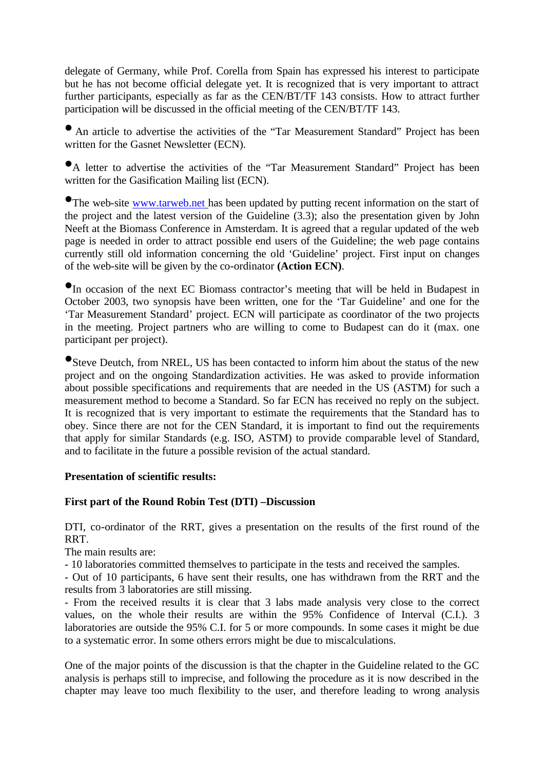delegate of Germany, while Prof. Corella from Spain has expressed his interest to participate but he has not become official delegate yet. It is recognized that is very important to attract further participants, especially as far as the CEN/BT/TF 143 consists. How to attract further participation will be discussed in the official meeting of the CEN/BT/TF 143.

• An article to advertise the activities of the "Tar Measurement Standard" Project has been written for the Gasnet Newsletter (ECN).

•A letter to advertise the activities of the "Tar Measurement Standard" Project has been written for the Gasification Mailing list (ECN).

•The web-site www.tarweb.net has been updated by putting recent information on the start of the project and the latest version of the Guideline (3.3); also the presentation given by John Neeft at the Biomass Conference in Amsterdam. It is agreed that a regular updated of the web page is needed in order to attract possible end users of the Guideline; the web page contains currently still old information concerning the old 'Guideline' project. First input on changes of the web-site will be given by the co-ordinator **(Action ECN)**.

•In occasion of the next EC Biomass contractor's meeting that will be held in Budapest in October 2003, two synopsis have been written, one for the 'Tar Guideline' and one for the 'Tar Measurement Standard' project. ECN will participate as coordinator of the two projects in the meeting. Project partners who are willing to come to Budapest can do it (max. one participant per project).

•Steve Deutch, from NREL, US has been contacted to inform him about the status of the new project and on the ongoing Standardization activities. He was asked to provide information about possible specifications and requirements that are needed in the US (ASTM) for such a measurement method to become a Standard. So far ECN has received no reply on the subject. It is recognized that is very important to estimate the requirements that the Standard has to obey. Since there are not for the CEN Standard, it is important to find out the requirements that apply for similar Standards (e.g. ISO, ASTM) to provide comparable level of Standard, and to facilitate in the future a possible revision of the actual standard.

## **Presentation of scientific results:**

# **First part of the Round Robin Test (DTI) –Discussion**

DTI, co-ordinator of the RRT, gives a presentation on the results of the first round of the RRT.

The main results are:

- 10 laboratories committed themselves to participate in the tests and received the samples.

- Out of 10 participants, 6 have sent their results, one has withdrawn from the RRT and the results from 3 laboratories are still missing.

- From the received results it is clear that 3 labs made analysis very close to the correct values, on the whole their results are within the 95% Confidence of Interval (C.I.). 3 laboratories are outside the 95% C.I. for 5 or more compounds. In some cases it might be due to a systematic error. In some others errors might be due to miscalculations.

One of the major points of the discussion is that the chapter in the Guideline related to the GC analysis is perhaps still to imprecise, and following the procedure as it is now described in the chapter may leave too much flexibility to the user, and therefore leading to wrong analysis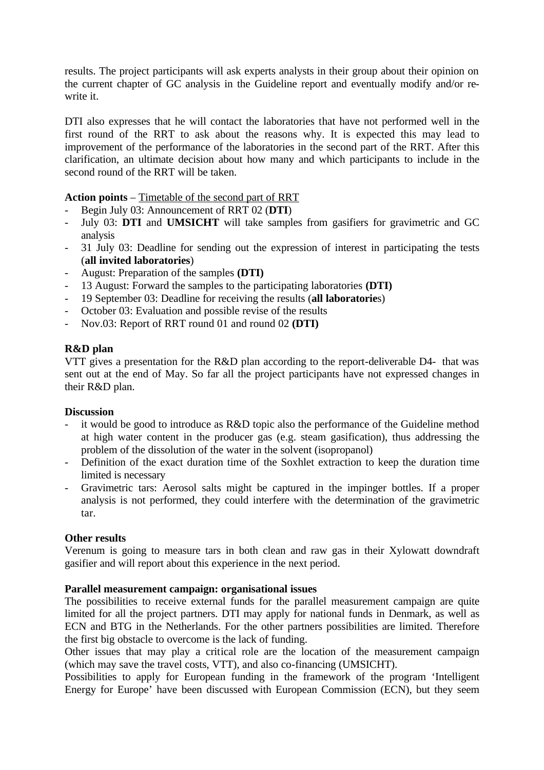results. The project participants will ask experts analysts in their group about their opinion on the current chapter of GC analysis in the Guideline report and eventually modify and/or rewrite it.

DTI also expresses that he will contact the laboratories that have not performed well in the first round of the RRT to ask about the reasons why. It is expected this may lead to improvement of the performance of the laboratories in the second part of the RRT. After this clarification, an ultimate decision about how many and which participants to include in the second round of the RRT will be taken.

**Action points** – Timetable of the second part of RRT

- Begin July 03: Announcement of RRT 02 (**DTI**)
- July 03: **DTI** and **UMSICHT** will take samples from gasifiers for gravimetric and GC analysis
- 31 July 03: Deadline for sending out the expression of interest in participating the tests (**all invited laboratories**)
- August: Preparation of the samples **(DTI)**
- 13 August: Forward the samples to the participating laboratories **(DTI)**
- 19 September 03: Deadline for receiving the results (**all laboratorie**s)
- October 03: Evaluation and possible revise of the results
- Nov.03: Report of RRT round 01 and round 02 **(DTI)**

# **R&D plan**

VTT gives a presentation for the R&D plan according to the report-deliverable D4- that was sent out at the end of May. So far all the project participants have not expressed changes in their R&D plan.

## **Discussion**

- it would be good to introduce as R&D topic also the performance of the Guideline method at high water content in the producer gas (e.g. steam gasification), thus addressing the problem of the dissolution of the water in the solvent (isopropanol)
- Definition of the exact duration time of the Soxhlet extraction to keep the duration time limited is necessary
- Gravimetric tars: Aerosol salts might be captured in the impinger bottles. If a proper analysis is not performed, they could interfere with the determination of the gravimetric tar.

## **Other results**

Verenum is going to measure tars in both clean and raw gas in their Xylowatt downdraft gasifier and will report about this experience in the next period.

## **Parallel measurement campaign: organisational issues**

The possibilities to receive external funds for the parallel measurement campaign are quite limited for all the project partners. DTI may apply for national funds in Denmark, as well as ECN and BTG in the Netherlands. For the other partners possibilities are limited. Therefore the first big obstacle to overcome is the lack of funding.

Other issues that may play a critical role are the location of the measurement campaign (which may save the travel costs, VTT), and also co-financing (UMSICHT).

Possibilities to apply for European funding in the framework of the program 'Intelligent' Energy for Europe' have been discussed with European Commission (ECN), but they seem